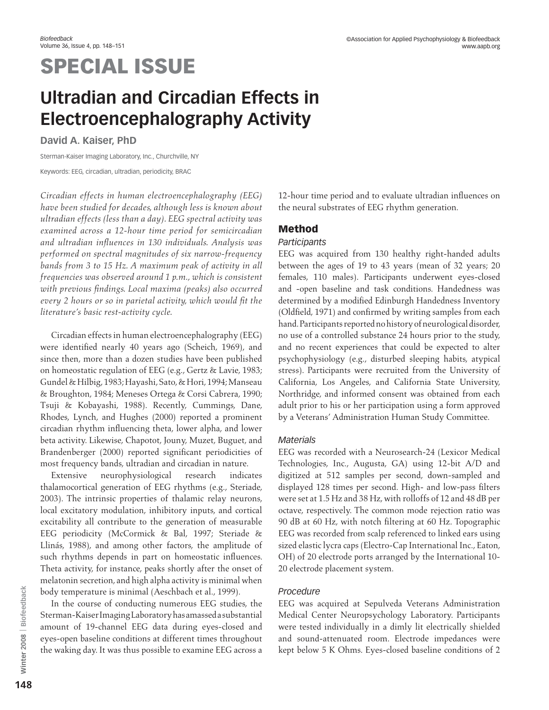# SPECIAL ISSUE

# **Ultradian and Circadian Effects in Electroencephalography Activity**

**David A. Kaiser, PhD**

Sterman-Kaiser Imaging Laboratory, Inc., Churchville, NY Keywords: EEG, circadian, ultradian, periodicity, BRAC

*Circadian effects in human electroencephalography (EEG) have been studied for decades, although less is known about ultradian effects (less than a day). EEG spectral activity was examined across a 12-hour time period for semicircadian and ultradian influences in 130 individuals. Analysis was performed on spectral magnitudes of six narrow-frequency bands from 3 to 15 Hz. A maximum peak of activity in all frequencies was observed around 1 p.m., which is consistent with previous findings. Local maxima (peaks) also occurred every 2 hours or so in parietal activity, which would fit the literature's basic rest-activity cycle.*

Circadian effects in human electroencephalography (EEG) were identified nearly 40 years ago (Scheich, 1969), and since then, more than a dozen studies have been published on homeostatic regulation of EEG (e.g., Gertz & Lavie, 1983; Gundel & Hilbig, 1983; Hayashi, Sato, & Hori, 1994; Manseau & Broughton, 1984; Meneses Ortega & Corsi Cabrera, 1990; Tsuji & Kobayashi, 1988). Recently, Cummings, Dane, Rhodes, Lynch, and Hughes (2000) reported a prominent circadian rhythm influencing theta, lower alpha, and lower beta activity. Likewise, Chapotot, Jouny, Muzet, Buguet, and Brandenberger (2000) reported significant periodicities of most frequency bands, ultradian and circadian in nature.

Extensive neurophysiological research indicates thalamocortical generation of EEG rhythms (e.g., Steriade, 2003). The intrinsic properties of thalamic relay neurons, local excitatory modulation, inhibitory inputs, and cortical excitability all contribute to the generation of measurable EEG periodicity (McCormick & Bal, 1997; Steriade & Llinás, 1988), and among other factors, the amplitude of such rhythms depends in part on homeostatic influences. Theta activity, for instance, peaks shortly after the onset of melatonin secretion, and high alpha activity is minimal when body temperature is minimal (Aeschbach et al., 1999).

In the course of conducting numerous EEG studies, the Sterman-Kaiser Imaging Laboratory has amassed a substantial amount of 19-channel EEG data during eyes-closed and eyes-open baseline conditions at different times throughout the waking day. It was thus possible to examine EEG across a

12-hour time period and to evaluate ultradian influences on the neural substrates of EEG rhythm generation.

# Method

# *Participants*

EEG was acquired from 130 healthy right-handed adults between the ages of 19 to 43 years (mean of 32 years; 20 females, 110 males). Participants underwent eyes-closed and -open baseline and task conditions. Handedness was determined by a modified Edinburgh Handedness Inventory (Oldfield, 1971) and confirmed by writing samples from each hand. Participants reported no history of neurological disorder, no use of a controlled substance 24 hours prior to the study, and no recent experiences that could be expected to alter psychophysiology (e.g., disturbed sleeping habits, atypical stress). Participants were recruited from the University of California, Los Angeles, and California State University, Northridge, and informed consent was obtained from each adult prior to his or her participation using a form approved by a Veterans' Administration Human Study Committee.

# *Materials*

EEG was recorded with a Neurosearch-24 (Lexicor Medical Technologies, Inc., Augusta, GA) using 12-bit A/D and digitized at 512 samples per second, down-sampled and displayed 128 times per second. High- and low-pass filters were set at 1.5 Hz and 38 Hz, with rolloffs of 12 and 48 dB per octave, respectively. The common mode rejection ratio was 90 dB at 60 Hz, with notch filtering at 60 Hz. Topographic EEG was recorded from scalp referenced to linked ears using sized elastic lycra caps (Electro-Cap International Inc., Eaton, OH) of 20 electrode ports arranged by the International 10- 20 electrode placement system.

# *Procedure*

EEG was acquired at Sepulveda Veterans Administration Medical Center Neuropsychology Laboratory. Participants were tested individually in a dimly lit electrically shielded and sound-attenuated room. Electrode impedances were kept below 5 K Ohms. Eyes-closed baseline conditions of 2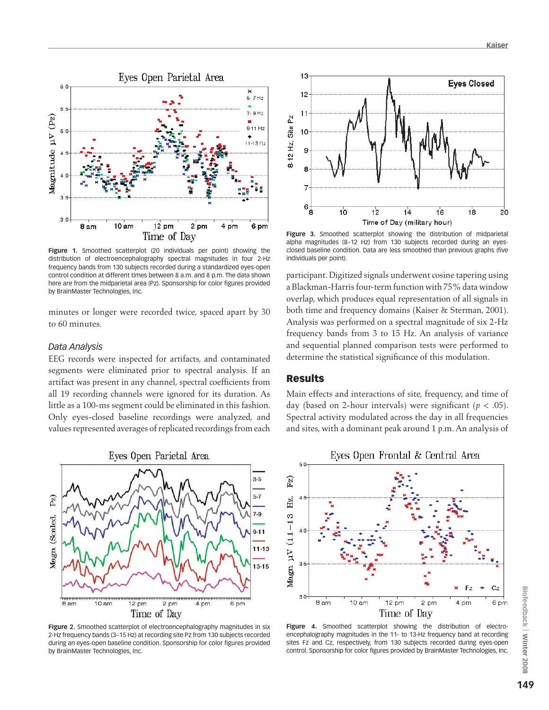

**Figure 1.** Smoothed scatterplot (20 individuals per point) showing the distribution of electroencephalography spectral magnitudes in four 2-Hz frequency bands from 130 subjects recorded during a standardized eyes-open control condition at different times between 8 a.m. and 8 p.m. The data shown here are from the midparietal area (Pz). Sponsorship for color figures provided by BrainMaster Technologies, Inc.

minutes or longer were recorded twice, spaced apart by 30 to 60 minutes.

#### *Data Analysis*

EEG records were inspected for artifacts, and contaminated segments were eliminated prior to spectral analysis. If an artifact was present in any channel, spectral coefficients from all 19 recording channels were ignored for its duration. As little as a 100-ms segment could be eliminated in this fashion. Only eyes-closed baseline recordings were analyzed, and values represented averages of replicated recordings from each



**Figure 2.** Smoothed scatterplot of electroencephalography magnitudes in six 2-Hz frequency bands (3–15 Hz) at recording site Pz from 130 subjects recorded during an eyes-open baseline condition. Sponsorship for color figures provided by BrainMaster Technologies, Inc.



**Figure 3.** Smoothed scatterplot showing the distribution of midparietal alpha magnitudes (8–12 Hz) from 130 subjects recorded during an eyesclosed baseline condition. Data are less smoothed than previous graphs (five individuals per point).

participant. Digitized signals underwent cosine tapering using a Blackman-Harris four-term function with 75% data window overlap, which produces equal representation of all signals in both time and frequency domains (Kaiser & Sterman, 2001). Analysis was performed on a spectral magnitude of six 2-Hz frequency bands from 3 to 15 Hz. An analysis of variance and sequential planned comparison tests were performed to determine the statistical significance of this modulation.

#### Results

Main effects and interactions of site, frequency, and time of day (based on 2-hour intervals) were significant (*p* < .05). Spectral activity modulated across the day in all frequencies and sites, with a dominant peak around 1 p.m. An analysis of



Figure 4. Smoothed scatterplot showing the distribution of electroencephalography magnitudes in the 11- to 13-Hz frequency band at recording sites Fz and Cz, respectively, from 130 subjects recorded during eyes-open control. Sponsorship for color figures provided by BrainMaster Technologies, Inc.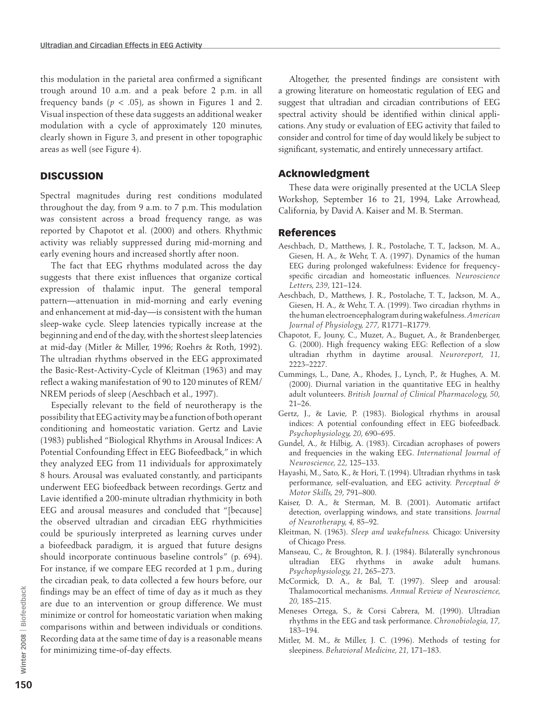this modulation in the parietal area confirmed a significant trough around 10 a.m. and a peak before 2 p.m. in all frequency bands  $(p < .05)$ , as shown in Figures 1 and 2. Visual inspection of these data suggests an additional weaker modulation with a cycle of approximately 120 minutes, clearly shown in Figure 3, and present in other topographic areas as well (see Figure 4).

## **DISCUSSION**

Spectral magnitudes during rest conditions modulated throughout the day, from 9 a.m. to 7 p.m. This modulation was consistent across a broad frequency range, as was reported by Chapotot et al. (2000) and others. Rhythmic activity was reliably suppressed during mid-morning and early evening hours and increased shortly after noon.

The fact that EEG rhythms modulated across the day suggests that there exist influences that organize cortical expression of thalamic input. The general temporal pattern—attenuation in mid-morning and early evening and enhancement at mid-day—is consistent with the human sleep-wake cycle. Sleep latencies typically increase at the beginning and end of the day, with the shortest sleep latencies at mid-day (Mitler & Miller, 1996; Roehrs & Roth, 1992). The ultradian rhythms observed in the EEG approximated the Basic-Rest-Activity-Cycle of Kleitman (1963) and may reflect a waking manifestation of 90 to 120 minutes of REM/ NREM periods of sleep (Aeschbach et al., 1997).

Especially relevant to the field of neurotherapy is the possibility that EEG activity may be a function of both operant conditioning and homeostatic variation. Gertz and Lavie (1983) published "Biological Rhythms in Arousal Indices: A Potential Confounding Effect in EEG Biofeedback," in which they analyzed EEG from 11 individuals for approximately 8 hours. Arousal was evaluated constantly, and participants underwent EEG biofeedback between recordings. Gertz and Lavie identified a 200-minute ultradian rhythmicity in both EEG and arousal measures and concluded that "[because] the observed ultradian and circadian EEG rhythmicities could be spuriously interpreted as learning curves under a biofeedback paradigm, it is argued that future designs should incorporate continuous baseline controls" (p. 694). For instance, if we compare EEG recorded at 1 p.m., during the circadian peak, to data collected a few hours before, our findings may be an effect of time of day as it much as they are due to an intervention or group difference. We must minimize or control for homeostatic variation when making comparisons within and between individuals or conditions. Recording data at the same time of day is a reasonable means for minimizing time-of-day effects.

Altogether, the presented findings are consistent with a growing literature on homeostatic regulation of EEG and suggest that ultradian and circadian contributions of EEG spectral activity should be identified within clinical applications. Any study or evaluation of EEG activity that failed to consider and control for time of day would likely be subject to significant, systematic, and entirely unnecessary artifact.

## Acknowledgment

These data were originally presented at the UCLA Sleep Workshop, September 16 to 21, 1994, Lake Arrowhead, California, by David A. Kaiser and M. B. Sterman.

#### References

- Aeschbach, D., Matthews, J. R., Postolache, T. T., Jackson, M. A., Giesen, H. A., & Wehr, T. A. (1997). Dynamics of the human EEG during prolonged wakefulness: Evidence for frequencyspecific circadian and homeostatic influences. *Neuroscience Letters, 239*, 121–124.
- Aeschbach, D., Matthews, J. R., Postolache, T. T., Jackson, M. A., Giesen, H. A., & Wehr, T. A. (1999). Two circadian rhythms in the human electroencephalogram during wakefulness. *American Journal of Physiology, 277,* R1771–R1779.
- Chapotot, F., Jouny, C., Muzet, A., Buguet, A., & Brandenberger, G. (2000). High frequency waking EEG: Reflection of a slow ultradian rhythm in daytime arousal. *Neuroreport, 11,* 2223–2227.
- Cummings, L., Dane, A., Rhodes, J., Lynch, P., & Hughes, A. M. (2000). Diurnal variation in the quantitative EEG in healthy adult volunteers. *British Journal of Clinical Pharmacology, 50,* 21–26.
- Gertz, J., & Lavie, P. (1983). Biological rhythms in arousal indices: A potential confounding effect in EEG biofeedback. *Psychophysiology, 20,* 690–695.
- Gundel, A., & Hilbig, A. (1983). Circadian acrophases of powers and frequencies in the waking EEG. *International Journal of Neuroscience, 22,* 125–133.
- Hayashi, M., Sato, K., & Hori, T. (1994). Ultradian rhythms in task performance, self-evaluation, and EEG activity. *Perceptual & Motor Skills, 29,* 791–800.
- Kaiser, D. A., & Sterman, M. B. (2001). Automatic artifact detection, overlapping windows, and state transitions. *Journal of Neurotherapy, 4,* 85–92.
- Kleitman, N. (1963). *Sleep and wakefulness.* Chicago: University of Chicago Press.
- Manseau, C., & Broughton, R. J. (1984). Bilaterally synchronous ultradian EEG rhythms in awake adult humans. *Psychophysiology, 21,* 265–273.
- McCormick, D. A., & Bal, T. (1997). Sleep and arousal: Thalamocortical mechanisms. *Annual Review of Neuroscience, 20,* 185–215.
- Meneses Ortega, S., & Corsi Cabrera, M. (1990). Ultradian rhythms in the EEG and task performance. *Chronobiologia, 17,* 183–194.
- Mitler, M. M., & Miller, J. C. (1996). Methods of testing for sleepiness. *Behavioral Medicine, 21,* 171–183.